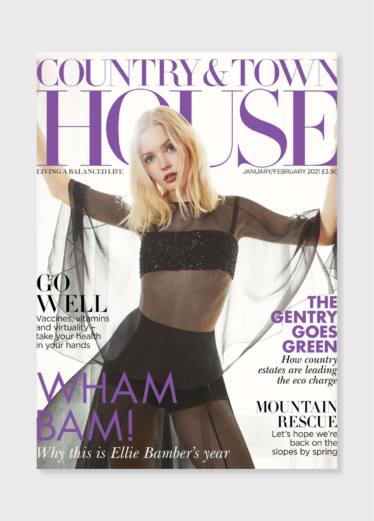# JUNTRY&TO

JANUARY/FEBRUARY 2021 £3.90

# $\overline{1}$ Vaccines, vitamins

LIVING A BALANCED LIFE

and virtuality take your health

## CEN GOES **GREEN**

How country estates are leading the eco charge

MOUNTAIN RESCUE

Let's hope we're back on the slopes by spring

hy this is Ellie Bamber's year